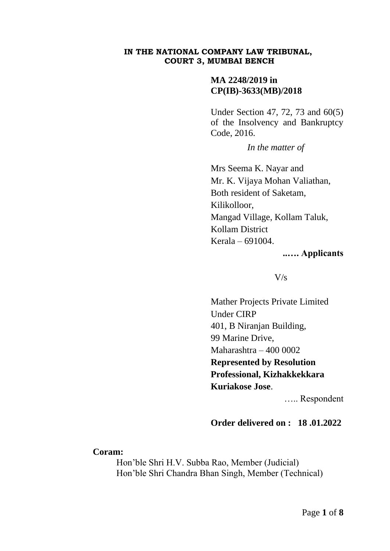#### **IN THE NATIONAL COMPANY LAW TRIBUNAL, COURT 3, MUMBAI BENCH**

# **MA 2248/2019 in CP(IB)-3633(MB)/2018**

Under Section 47, 72, 73 and 60(5) of the Insolvency and Bankruptcy Code, 2016.

*In the matter of*

Mrs Seema K. Nayar and Mr. K. Vijaya Mohan Valiathan, Both resident of Saketam, Kilikolloor, Mangad Village, Kollam Taluk, Kollam District Kerala – 691004.

### **..…. Applicants**

### $V/s$

Mather Projects Private Limited Under CIRP 401, B Niranjan Building, 99 Marine Drive, Maharashtra – 400 0002 **Represented by Resolution Professional, Kizhakkekkara Kuriakose Jose**.

….. Respondent

# **Order delivered on : 18 .01.2022**

### **Coram:**

Hon'ble Shri H.V. Subba Rao, Member (Judicial) Hon'ble Shri Chandra Bhan Singh, Member (Technical)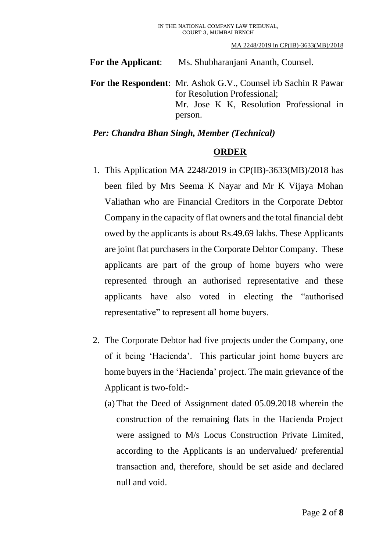**For the Applicant**: Ms. Shubharanjani Ananth, Counsel.

**For the Respondent**: Mr. Ashok G.V., Counsel i/b Sachin R Pawar for Resolution Professional; Mr. Jose K K, Resolution Professional in person.

## *Per: Chandra Bhan Singh, Member (Technical)*

# **ORDER**

- 1. This Application MA 2248/2019 in CP(IB)-3633(MB)/2018 has been filed by Mrs Seema K Nayar and Mr K Vijaya Mohan Valiathan who are Financial Creditors in the Corporate Debtor Company in the capacity of flat owners and the total financial debt owed by the applicants is about Rs.49.69 lakhs. These Applicants are joint flat purchasers in the Corporate Debtor Company. These applicants are part of the group of home buyers who were represented through an authorised representative and these applicants have also voted in electing the "authorised representative" to represent all home buyers.
- 2. The Corporate Debtor had five projects under the Company, one of it being 'Hacienda'. This particular joint home buyers are home buyers in the 'Hacienda' project. The main grievance of the Applicant is two-fold:-
	- (a) That the Deed of Assignment dated 05.09.2018 wherein the construction of the remaining flats in the Hacienda Project were assigned to M/s Locus Construction Private Limited, according to the Applicants is an undervalued/ preferential transaction and, therefore, should be set aside and declared null and void.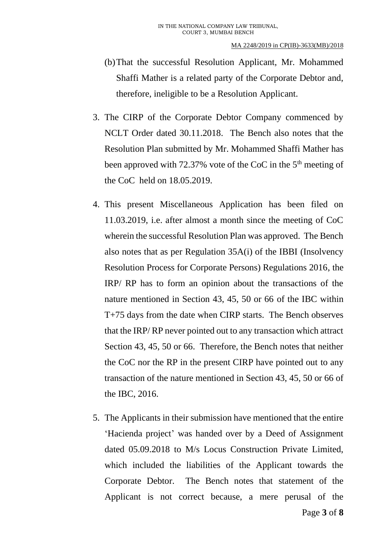- (b)That the successful Resolution Applicant, Mr. Mohammed Shaffi Mather is a related party of the Corporate Debtor and, therefore, ineligible to be a Resolution Applicant.
- 3. The CIRP of the Corporate Debtor Company commenced by NCLT Order dated 30.11.2018. The Bench also notes that the Resolution Plan submitted by Mr. Mohammed Shaffi Mather has been approved with 72.37% vote of the CoC in the 5<sup>th</sup> meeting of the CoC held on 18.05.2019.
- 4. This present Miscellaneous Application has been filed on 11.03.2019, i.e. after almost a month since the meeting of CoC wherein the successful Resolution Plan was approved. The Bench also notes that as per Regulation 35A(i) of the IBBI (Insolvency Resolution Process for Corporate Persons) Regulations 2016, the IRP/ RP has to form an opinion about the transactions of the nature mentioned in Section 43, 45, 50 or 66 of the IBC within T+75 days from the date when CIRP starts. The Bench observes that the IRP/ RP never pointed out to any transaction which attract Section 43, 45, 50 or 66. Therefore, the Bench notes that neither the CoC nor the RP in the present CIRP have pointed out to any transaction of the nature mentioned in Section 43, 45, 50 or 66 of the IBC, 2016.
- 5. The Applicants in their submission have mentioned that the entire 'Hacienda project' was handed over by a Deed of Assignment dated 05.09.2018 to M/s Locus Construction Private Limited, which included the liabilities of the Applicant towards the Corporate Debtor. The Bench notes that statement of the Applicant is not correct because, a mere perusal of the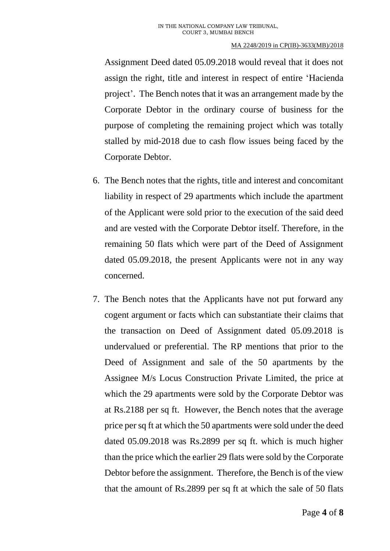#### MA 2248/2019 in CP(IB)-3633(MB)/2018

Assignment Deed dated 05.09.2018 would reveal that it does not assign the right, title and interest in respect of entire 'Hacienda project'. The Bench notes that it was an arrangement made by the Corporate Debtor in the ordinary course of business for the purpose of completing the remaining project which was totally stalled by mid-2018 due to cash flow issues being faced by the Corporate Debtor.

- 6. The Bench notes that the rights, title and interest and concomitant liability in respect of 29 apartments which include the apartment of the Applicant were sold prior to the execution of the said deed and are vested with the Corporate Debtor itself. Therefore, in the remaining 50 flats which were part of the Deed of Assignment dated 05.09.2018, the present Applicants were not in any way concerned.
- 7. The Bench notes that the Applicants have not put forward any cogent argument or facts which can substantiate their claims that the transaction on Deed of Assignment dated 05.09.2018 is undervalued or preferential. The RP mentions that prior to the Deed of Assignment and sale of the 50 apartments by the Assignee M/s Locus Construction Private Limited, the price at which the 29 apartments were sold by the Corporate Debtor was at Rs.2188 per sq ft. However, the Bench notes that the average price per sq ft at which the 50 apartments were sold under the deed dated 05.09.2018 was Rs.2899 per sq ft. which is much higher than the price which the earlier 29 flats were sold by the Corporate Debtor before the assignment. Therefore, the Bench is of the view that the amount of Rs.2899 per sq ft at which the sale of 50 flats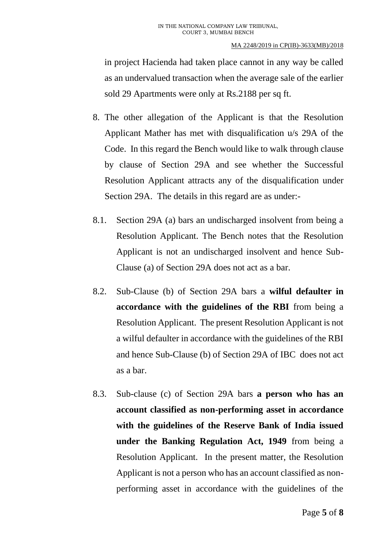#### MA 2248/2019 in CP(IB)-3633(MB)/2018

in project Hacienda had taken place cannot in any way be called as an undervalued transaction when the average sale of the earlier sold 29 Apartments were only at Rs.2188 per sq ft.

- 8. The other allegation of the Applicant is that the Resolution Applicant Mather has met with disqualification u/s 29A of the Code. In this regard the Bench would like to walk through clause by clause of Section 29A and see whether the Successful Resolution Applicant attracts any of the disqualification under Section 29A. The details in this regard are as under:-
- 8.1. Section 29A (a) bars an undischarged insolvent from being a Resolution Applicant. The Bench notes that the Resolution Applicant is not an undischarged insolvent and hence Sub-Clause (a) of Section 29A does not act as a bar.
- 8.2. Sub-Clause (b) of Section 29A bars a **wilful defaulter in accordance with the guidelines of the RBI** from being a Resolution Applicant. The present Resolution Applicant is not a wilful defaulter in accordance with the guidelines of the RBI and hence Sub-Clause (b) of Section 29A of IBC does not act as a bar.
- 8.3. Sub-clause (c) of Section 29A bars **a person who has an account classified as non-performing asset in accordance with the guidelines of the Reserve Bank of India issued under the Banking Regulation Act, 1949** from being a Resolution Applicant. In the present matter, the Resolution Applicant is not a person who has an account classified as nonperforming asset in accordance with the guidelines of the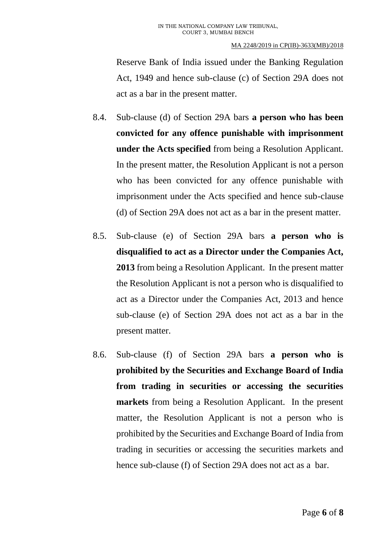Reserve Bank of India issued under the Banking Regulation Act, 1949 and hence sub-clause (c) of Section 29A does not act as a bar in the present matter.

- 8.4. Sub-clause (d) of Section 29A bars **a person who has been convicted for any offence punishable with imprisonment under the Acts specified** from being a Resolution Applicant. In the present matter, the Resolution Applicant is not a person who has been convicted for any offence punishable with imprisonment under the Acts specified and hence sub-clause (d) of Section 29A does not act as a bar in the present matter.
- 8.5. Sub-clause (e) of Section 29A bars **a person who is disqualified to act as a Director under the Companies Act, 2013** from being a Resolution Applicant. In the present matter the Resolution Applicant is not a person who is disqualified to act as a Director under the Companies Act, 2013 and hence sub-clause (e) of Section 29A does not act as a bar in the present matter.
- 8.6. Sub-clause (f) of Section 29A bars **a person who is prohibited by the Securities and Exchange Board of India from trading in securities or accessing the securities markets** from being a Resolution Applicant. In the present matter, the Resolution Applicant is not a person who is prohibited by the Securities and Exchange Board of India from trading in securities or accessing the securities markets and hence sub-clause (f) of Section 29A does not act as a bar.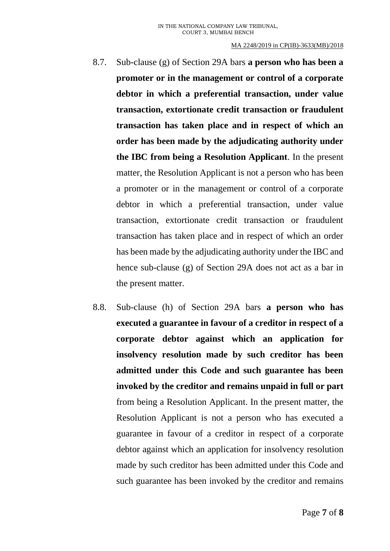#### MA 2248/2019 in CP(IB)-3633(MB)/2018

- 8.7. Sub-clause (g) of Section 29A bars **a person who has been a promoter or in the management or control of a corporate debtor in which a preferential transaction, under value transaction, extortionate credit transaction or fraudulent transaction has taken place and in respect of which an order has been made by the adjudicating authority under the IBC from being a Resolution Applicant**. In the present matter, the Resolution Applicant is not a person who has been a promoter or in the management or control of a corporate debtor in which a preferential transaction, under value transaction, extortionate credit transaction or fraudulent transaction has taken place and in respect of which an order has been made by the adjudicating authority under the IBC and hence sub-clause (g) of Section 29A does not act as a bar in the present matter.
- 8.8. Sub-clause (h) of Section 29A bars **a person who has executed a guarantee in favour of a creditor in respect of a corporate debtor against which an application for insolvency resolution made by such creditor has been admitted under this Code and such guarantee has been invoked by the creditor and remains unpaid in full or part**  from being a Resolution Applicant. In the present matter, the Resolution Applicant is not a person who has executed a guarantee in favour of a creditor in respect of a corporate debtor against which an application for insolvency resolution made by such creditor has been admitted under this Code and such guarantee has been invoked by the creditor and remains